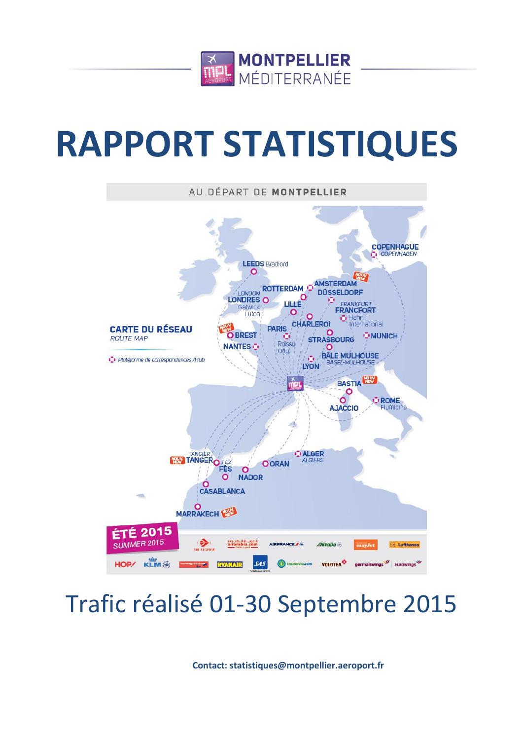

# **RAPPORT STATISTIQUES**



# Trafic réalisé 01-30 Septembre 2015

**Contact: statistiques@montpellier.aeroport.fr**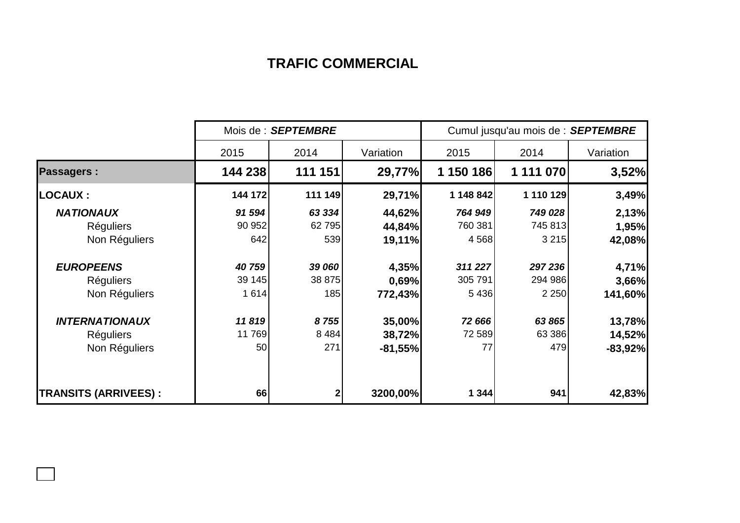## **TRAFIC COMMERCIAL**

|                             | Mois de : SEPTEMBRE |         |           | Cumul jusqu'au mois de : SEPTEMBRE |           |           |  |
|-----------------------------|---------------------|---------|-----------|------------------------------------|-----------|-----------|--|
|                             | 2015                | 2014    | Variation | 2015                               | 2014      | Variation |  |
| <b>Passagers:</b>           | 144 238             | 111 151 | 29,77%    | 1 150 186                          | 1 111 070 | 3,52%     |  |
| <b>LOCAUX:</b>              | 144 172             | 111 149 | 29,71%    | 1 148 842                          | 1 110 129 | 3,49%     |  |
| <b>NATIONAUX</b>            | 91 594              | 63 334  | 44,62%    | 764 949                            | 749 028   | 2,13%     |  |
| <b>Réguliers</b>            | 90 952              | 62795   | 44,84%    | 760 381                            | 745 813   | 1,95%     |  |
| Non Réguliers               | 642                 | 539     | 19,11%    | 4568                               | 3 2 1 5   | 42,08%    |  |
| <b>EUROPEENS</b>            | 40759               | 39 060  | 4,35%     | 311 227                            | 297 236   | 4,71%     |  |
| <b>Réguliers</b>            | 39 145              | 38 875  | 0,69%     | 305 791                            | 294 986   | 3,66%     |  |
| Non Réguliers               | 1614                | 185     | 772,43%   | 5436                               | 2 2 5 0   | 141,60%   |  |
| <b>INTERNATIONAUX</b>       | 11819               | 8755    | 35,00%    | 72 666                             | 63 865    | 13,78%    |  |
| <b>Réguliers</b>            | 11 769              | 8 4 8 4 | 38,72%    | 72 589                             | 63 386    | 14,52%    |  |
| Non Réguliers               | 50                  | 271     | $-81,55%$ | 77                                 | 479       | $-83,92%$ |  |
| <b>TRANSITS (ARRIVEES):</b> | 66                  |         | 3200,00%  | 1344                               | 941       | 42,83%    |  |

 $\overline{\phantom{a}}$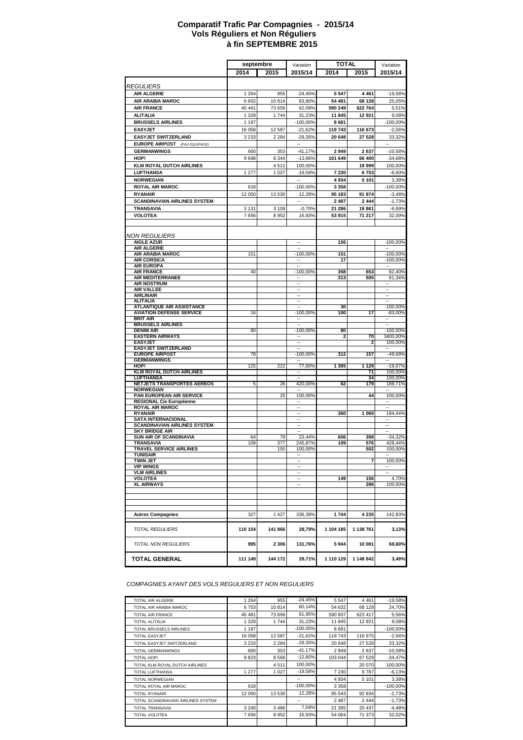#### **à fin SEPTEMBRE 2015 Comparatif Trafic Par Compagnies - 2015/14 Vols Réguliers et Non Réguliers**

|                                                     | septembre |            | Variation                | <b>TOTAL</b> |            |                          |
|-----------------------------------------------------|-----------|------------|--------------------------|--------------|------------|--------------------------|
|                                                     |           |            |                          |              |            | Variation                |
|                                                     | 2014      | 2015       | 2015/14                  | 2014         | 2015       | 2015/14                  |
| <b>REGULIERS</b>                                    |           |            |                          |              |            |                          |
|                                                     |           |            |                          |              |            |                          |
| <b>AIR ALGERIE</b>                                  | 1 2 6 4   | 955        | $-24,45%$                | 5 5 4 7      | 4 4 6 1    | $-19,58%$                |
| AIR ARABIA MAROC                                    | 6 602     | 10814      | 63,80%                   | 54 481       | 68 128     | 25,05%                   |
| <b>AIR FRANCE</b>                                   | 45 441    | 73 656     | 62,09%                   | 590 249      | 622 764    | 5,51%                    |
| <b>ALITALIA</b>                                     | 1 3 2 9   | 1744       | 31,23%                   | 11845        | 12 921     | 9,08%                    |
| <b>BRUSSELS AIRLINES</b>                            | 1 1 9 7   |            | -100,00%                 | 8681         |            | $-100,00%$               |
| <b>EASYJET</b>                                      | 16 058    | 12 587     | $-21,62%$                | 119 743      | 116 673    | $-2,56%$                 |
| <b>EASYJET SWITZERLAND</b>                          | 3 2 3 3   | 2 2 8 4    | $-29,35%$                | 20 648       | 27 528     | 33,32%                   |
| <b>EUROPE AIRPOST</b> (PAX EQUIPAGE)                |           |            | --                       |              |            |                          |
| <b>GERMANWINGS</b>                                  | 600       | 353        | $-41,17%$                | 2949         | 2637       | $-10,58%$                |
| HOP!                                                | 9698      | 8 3 4 4    | $-13,96%$                | 101 649      | 66 400     | $-34,68%$                |
| <b>KLM ROYAL DUTCH AIRLINES</b>                     |           | 4511       | 100,00%                  |              | 19 999     | 100,00%                  |
| <b>LUFTHANSA</b>                                    | 1 277     | 1 0 2 7    | $-19,58%$                | 7 230        | 6753       | $-6,60%$                 |
| <b>NORWEGIAN</b>                                    |           |            | ÷.                       | 4934         | 5 1 0 1    | 3,38%                    |
| <b>ROYAL AIR MAROC</b>                              |           |            |                          | 3 3 5 8      |            | $-100,00%$               |
|                                                     | 618       |            | -100,00%                 |              |            |                          |
| <b>RYANAIR</b>                                      | 12 050    | 13 530     | 12,28%                   | 95 183       | 91 874     | $-3,48%$                 |
| <b>SCANDINAVIAN AIRLINES SYSTEM</b>                 |           |            |                          | 2 4 8 7      | 2 4 4 4    | $-1,73%$                 |
| <b>TRANSAVIA</b>                                    | 3 1 3 1   | 3 1 0 9    | $-0,70%$                 | 21 286       | 19861      | $-6,69%$                 |
| <b>VOLOTEA</b>                                      | 7656      | 8952       | 16,93%                   | 53 915       | 71 217     | 32,09%                   |
|                                                     |           |            |                          |              |            |                          |
|                                                     |           |            |                          |              |            |                          |
| <b>NON REGULIERS</b>                                |           |            |                          |              |            |                          |
| <b>AIGLE AZUR</b>                                   |           |            | $\overline{\phantom{a}}$ | 156          |            | $-100,00%$               |
| <b>AIR ALGERIE</b><br><b>AIR ARABIA MAROC</b>       | 151       |            | -100,00%                 | 151          |            | $-100,00%$               |
| <b>AIR CORSICA</b>                                  |           |            |                          | 17           |            | $-100,00%$               |
| <b>AIR EUROPA</b>                                   |           |            |                          |              |            | ٠.                       |
| <b>AIR FRANCE</b>                                   | 40        |            | $-100,00%$               | 358          | 653        | 82,40%                   |
| <b>AIR MEDITERRANEE</b>                             |           |            |                          | 313          | 505        | 61,34%                   |
| <b>AIR NOSTRUM</b>                                  |           |            | $\sim$                   |              |            |                          |
| <b>AIR VALLEE</b>                                   |           |            | Ξ.                       |              |            | Ξ.                       |
| <b>AIRLINAIR</b><br><b>ALITALIA</b>                 |           |            | н.<br>÷.                 |              |            | н.<br>÷.                 |
| <b>ATLANTIQUE AIR ASSISTANCE</b>                    |           |            | ä.                       | 30           |            | $-100,00%$               |
| <b>AVIATION DEFENSE SERVICE</b>                     | 16        |            | $-100,00%$               | 100          | 17         | $-83,00%$                |
| <b>BRIT AIR</b>                                     |           |            | $\sim$                   |              |            | $\overline{\phantom{a}}$ |
| <b>BRUSSELS AIRLINES</b>                            |           |            |                          |              |            | ÷.                       |
| <b>DENIM AIR</b>                                    | 80        |            | -100,00%                 | 80           |            | $-100,00%$               |
| <b>EASTERN AIRWAYS</b>                              |           |            |                          | 2            | 70         | 3400,00%                 |
| <b>EASYJET</b>                                      |           |            | $\overline{\phantom{a}}$ |              | 2          | 100,00%                  |
| <b>EASYJET SWITZERLAND</b><br><b>EUROPE AIRPOST</b> |           |            |                          |              | 157        |                          |
| <b>GERMANWINGS</b>                                  | 78        |            | -100,00%                 | 312          |            | -49,68%                  |
| HOP!                                                | 125       | 222        | 77,60%                   | 1 3 9 5      | 1 1 2 9    | $-19,07%$                |
| <b>KLM ROYAL DUTCH AIRLINES</b>                     |           |            |                          |              | 71         | 100,00%                  |
| LUFTHANSA                                           |           |            |                          |              | 34         | 100,00%                  |
| NETJETS TRANSPORTES AEREOS                          | 5         | 26         | 420,00%                  | 62           | 179        | 188,71%                  |
| <b>NORWEGIAN</b>                                    |           |            | $\overline{\phantom{a}}$ |              |            | ٠.                       |
| PAN EUROPEAN AIR SERVICE                            |           | 25         | 100,00%                  |              | 44         | 100,00%                  |
| REGIONAL Cie Européenne<br><b>ROYAL AIR MAROC</b>   |           |            | ٠.                       |              |            | $\overline{\phantom{a}}$ |
| <b>RYANAIR</b>                                      |           |            | ٠.                       | 360          | 1 0 6 0    | 194,44%                  |
| <b>SATA INTERNACIONAL</b>                           |           |            | $\overline{\phantom{a}}$ |              |            | $\overline{\phantom{a}}$ |
| <b>SCANDINAVIAN AIRLINES SYSTEM</b>                 |           |            | ÷.                       |              |            | ÷.                       |
| <b>SKY BRIDGE AIR</b>                               |           |            | ä.                       |              |            | ä.                       |
| <b>SUN AIR OF SCANDINAVIA</b>                       | 64        | 79         | 23.44%                   | 606          | 398        | $-34,32%$                |
| <b>TRANSAVIA</b><br><b>TRAVEL SERVICE AIRLINES</b>  | 109       | 377<br>150 | 245,87%<br>100,00%       | 109          | 576<br>502 | 428,44%                  |
| TUNISAIR                                            |           |            |                          |              |            | 100,00%                  |
| TWIN JET                                            |           |            | ٠.                       |              | 7          | 100,00%                  |
| <b>VIP WINGS</b>                                    |           |            | $\overline{\phantom{a}}$ |              |            | $\overline{\phantom{a}}$ |
| <b>VLM AIRLINES</b>                                 |           |            | ÷.                       |              |            |                          |
| <b>VOLOTEA</b>                                      |           |            | $\sim$                   | 149          | 156        | 4,70%                    |
| <b>XL AIRWAYS</b>                                   |           |            | ٠.                       |              | 286        | 100,00%                  |
|                                                     |           |            |                          |              |            |                          |
|                                                     |           |            |                          |              |            |                          |
|                                                     |           |            |                          |              |            |                          |
| <b>Autres Compagnies</b>                            | 327       | 1 4 2 7    | 336,39%                  | 1744         | 4 2 3 5    | 142,83%                  |
|                                                     |           |            |                          |              |            |                          |
| <b>TOTAL REGULIERS</b>                              | 110 154   | 141 866    | 28,79%                   | 1 104 185    | 1 138 761  | 3,13%                    |
|                                                     |           |            |                          |              |            |                          |
| TOTAL NON REGULIERS                                 | 995       | 2 3 0 6    | 131,76%                  | 5944         | 10 081     | 69,60%                   |
| <b>TOTAL GENERAL</b>                                | 111 149   | 144 172    | 29,71%                   | 1 110 129    | 1 148 842  | 3,49%                    |
|                                                     |           |            |                          |              |            |                          |

*COMPAGNIES AYANT DES VOLS REGULIERS ET NON REGULIERS*

| <b>TOTAL AIR ALGERIE</b>           | 1 2 6 4 | 955     | $-24,45%$   | 5547    | 4 4 6 1 | $-19,58%$  |
|------------------------------------|---------|---------|-------------|---------|---------|------------|
| TOTAL AIR ARABIA MAROC             | 6753    | 10814   | 60.14%      | 54 632  | 68 128  | 24,70%     |
| <b>TOTAL AIR FRANCE</b>            | 45 481  | 73 656  | 61,95%      | 590 607 | 623 417 | 5,56%      |
| <b>TOTAL ALITALIA</b>              | 1 3 2 9 | 1744    | 31,23%      | 11 845  | 12 9 21 | 9,08%      |
| TOTAL BRUSSELS AIRLINES            | 1 1 9 7 |         | $-100.00\%$ | 8681    |         | $-100,00%$ |
| <b>TOTAL EASYJET</b>               | 16 058  | 12 587  | $-21,62%$   | 119 743 | 116 675 | $-2,56%$   |
| TOTAL EASYJET SWITZERLAND          | 3 2 3 3 | 2 2 8 4 | $-29,35%$   | 20 648  | 27 528  | 33,32%     |
| <b>TOTAL GERMANWINGS</b>           | 600     | 353     | $-41,17%$   | 2949    | 2637    | $-10,58%$  |
| TOTAL HOP!                         | 9823    | 8 5 6 6 | $-12,80%$   | 103 044 | 67 529  | $-34,47%$  |
| TOTAL KLM ROYAL DUTCH AIRLINES     |         | 4511    | 100,00%     |         | 20 070  | 100,00%    |
| <b>TOTAL LUFTHANSA</b>             | 1 277   | 1 0 2 7 | $-19,58%$   | 7 2 3 0 | 6787    | $-6,13%$   |
| <b>TOTAL NORWEGIAN</b>             |         |         | --          | 4 9 3 4 | 5 1 0 1 | 3,38%      |
| TOTAL ROYAL AIR MAROC              | 618     |         | $-100.00\%$ | 3 3 5 8 |         | $-100,00%$ |
| <b>TOTAL RYANAIR</b>               | 12 050  | 13 530  | 12,28%      | 95 543  | 92 934  | $-2,73%$   |
| TOTAL SCANDINAVIAN AIRLINES SYSTEM |         |         | --          | 2 4 8 7 | 2 4 4 4 | $-1,73%$   |
| <b>TOTAL TRANSAVIA</b>             | 3 2 4 0 | 3 4 8 6 | 7,59%       | 21 395  | 20 437  | $-4,48%$   |
| <b>TOTAL VOLOTEA</b>               | 7656    | 8 9 5 2 | 16,93%      | 54 064  | 71 373  | 32,02%     |
|                                    |         |         |             |         |         |            |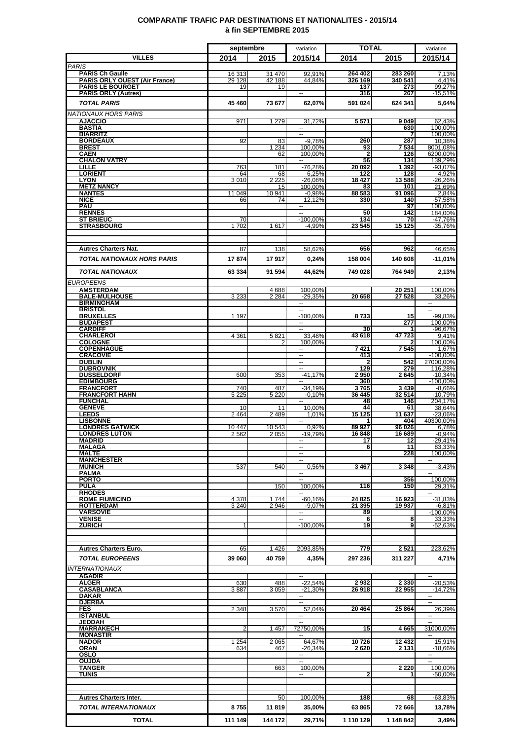### **COMPARATIF TRAFIC PAR DESTINATIONS ET NATIONALITES - 2015/14 à fin SEPTEMBRE 2015**

|                                                                | septembre        |                   | Variation                                            | <b>TOTAL</b>       |                    | Variation                |
|----------------------------------------------------------------|------------------|-------------------|------------------------------------------------------|--------------------|--------------------|--------------------------|
| <b>VILLES</b>                                                  | 2014             | 2015              | 2015/14                                              | 2014               | 2015               | 2015/14                  |
| <b>PARIS</b>                                                   |                  |                   |                                                      |                    |                    |                          |
| <b>PARIS Ch Gaulle</b><br><b>PARIS ORLY OUEST (Air France)</b> | 16 313<br>29 128 | 31 470<br>42 188  | 92.91%<br>44.84%                                     | 264 402<br>326 169 | 283 260<br>340 541 | 7,13%<br>4,41%           |
| <b>PARIS LE BOURGET</b>                                        | 19               | 19                |                                                      | 137                | 273                | 99,27%                   |
| <b>PARIS ORLY (Autres)</b>                                     |                  |                   |                                                      | 316                | 267                | $-15,51%$                |
| <b>TOTAL PARIS</b>                                             | 45 460           | 73 677            | 62,07%                                               | 591 024            | 624 341            | 5,64%                    |
| <b>NATIONAUX HORS PARIS</b>                                    |                  |                   |                                                      |                    |                    |                          |
| <b>AJACCIO</b><br><b>BASTIA</b>                                | 971              | 1 2 7 9           | 31,72%<br>$\sim$                                     | 5571               | 9049<br>630        | 62,43%<br>100,00%        |
| <b>BIARRITZ</b>                                                |                  |                   | $\overline{\phantom{a}}$                             |                    |                    | 100,00%                  |
| <b>BORDEAUX</b><br><b>BREST</b>                                | 92               | 83<br>1 2 3 4     | $-9.78%$<br>100,00%                                  | 260<br>93          | 287<br>7 534       | 10,38%<br>8001,08%       |
| <b>CAEN</b>                                                    |                  | 62                | 100,00%                                              | $\mathbf{2}$       | 126                | 6200,00%                 |
| <b>CHALON VATRY</b><br>LILLE                                   | 763              | 181               | $\sim$<br>$-76,28%$                                  | 56<br>20 09 2      | 134<br>1 3 9 2     | 139,29%<br>$-93,07%$     |
| <b>LORIENT</b>                                                 | 64               | 68                | 6,25%                                                | 122                | 128                | 4,92%                    |
| <b>LYON</b><br><b>METZ NANCY</b>                               | 3010             | 2 2 2 5<br>15     | $-26,08%$<br>100,00%                                 | 18 427<br>83       | 13588<br>101       | $-26,26%$<br>21,69%      |
| <b>NANTES</b>                                                  | 11 049           | 10 941            | $-0.98%$                                             | 88 583             | 91 096             | 2,84%                    |
| <b>NICE</b><br><b>PAU</b>                                      | 66               | 74                | 12,12%<br>$\mathbf{u}$                               | 330                | 140<br>97          | $-57,58%$<br>100,00%     |
| <b>RENNES</b>                                                  |                  |                   |                                                      | 50                 | 142                | 184,00%                  |
| <b>ST BRIEUC</b>                                               | 70<br>1702       |                   | $-100,00%$<br>$-4.99%$                               | 134                | 70                 | -47,76%                  |
| <b>STRASBOURG</b>                                              |                  | 1617              |                                                      | 23 545             | 15 125             | $-35,76%$                |
|                                                                |                  |                   |                                                      |                    |                    |                          |
| <b>Autres Charters Nat.</b>                                    | 87               | 138               | 58,62%                                               | 656                | 962                | 46.65%                   |
| <b>TOTAL NATIONAUX HORS PARIS</b>                              | 17874            | 17917             | 0,24%                                                | 158 004            | 140 608            | -11,01%                  |
| <b>TOTAL NATIONAUX</b>                                         | 63 334           | 91 594            | 44,62%                                               | 749 028            | 764 949            | 2,13%                    |
| <b>EUROPEENS</b>                                               |                  |                   |                                                      |                    |                    |                          |
| <b>AMSTERDAM</b>                                               |                  | 4688              | 100,00%                                              |                    | 20 251             | 100,00%                  |
| <b>BALE-MULHOUSE</b>                                           | 3 2 3 3          | 2 2 8 4           | $-29.35%$                                            | 20 658             | 27 5 28            | 33,26%                   |
| <b>BIRMINGHAM</b><br><b>BRISTOL</b>                            |                  |                   | --                                                   |                    |                    | $\overline{\phantom{a}}$ |
| <b>BRUXELLES</b>                                               | 1 1 9 7          |                   | $-100,00%$                                           | 8733               | 15                 | $-99,83%$                |
| <b>BUDAPEST</b><br><b>CARDIFF</b>                              |                  |                   | $\overline{\phantom{a}}$<br>$\overline{\phantom{a}}$ | 30                 | 277                | 100,00%<br>$-96,67%$     |
| <b>CHARLEROI</b>                                               | 4 3 6 1          | 5821              | 33,48%                                               | 43 618             | 47723              | 9.41%                    |
| <b>COLOGNE</b><br><b>COPENHAGUE</b>                            |                  |                   | 100.00%                                              | 7421               | 7545               | 100,00%                  |
| <b>CRACOVIE</b>                                                |                  |                   | н.                                                   | 413                |                    | 1,67%<br>$-100,00\%$     |
| <b>DUBLIN</b>                                                  |                  |                   |                                                      |                    | 542                | 27000,00%                |
| <b>DUBROVNIK</b><br><b>DUSSELDORF</b>                          | 600              | 353               | $-41.17%$                                            | 129<br>2950        | 279<br>2645        | 116,28%<br>$-10,34%$     |
| <b>EDIMBOURG</b>                                               |                  |                   |                                                      | 360                |                    | $-100,00%$               |
| <b>FRANCFORT</b><br><b>FRANCFORT HAHN</b>                      | 740<br>5 2 2 5   | 487<br>5 2 2 0    | $-34,19%$<br>$-0.10%$                                | 3765<br>36 445     | 3 4 3 9<br>32 514  | $-8,66%$<br>$-10,79%$    |
| <b>FUNCHAL</b>                                                 |                  |                   | $\sim$                                               | 48                 | 146                | 204,17%                  |
| <b>GENEVE</b><br><b>LEEDS</b>                                  | 10<br>2 4 6 4    | 11<br>2 4 8 9     | 10,00%<br>1.01%                                      | 44<br>15 125       | 61<br>11 637       | 38,64%<br>$-23,06%$      |
| <b>LISBONNE</b>                                                |                  |                   |                                                      |                    | 404                | 40300,00%                |
| <b>LONDRES GATWICK</b><br><b>LONDRES LUTON</b>                 | 10 447<br>2562   | 10 543<br>2 0 5 5 | 0,92%<br>$-19,79%$                                   | 89 927<br>16848    | 96 026<br>16 689   | 6,78%<br>$-0,94%$        |
| <b>MADRID</b>                                                  |                  |                   | --                                                   | 17                 | 12                 | $-29,41%$                |
| <b>MALAGA</b><br><b>MALTE</b>                                  |                  |                   | $\sim$<br>н.                                         | 6                  | 11<br>228          | 83,33%<br>100,00%        |
| <b>MANCHESTER</b>                                              |                  |                   |                                                      |                    |                    |                          |
| <b>MUNICH</b><br><b>PALMA</b>                                  | 537              | 540               | 0,56%                                                | 3 467              | 3348               | $-3.43%$                 |
| <b>PORTO</b>                                                   |                  |                   | --                                                   |                    | 356                | 100,00%                  |
| <b>PULA</b>                                                    |                  | 150               | 100.00%                                              | 116                | 150                | 29,31%                   |
| <b>RHODES</b><br><b>ROME FIUMICINO</b>                         | 4 3 7 8          | 1744              | ۰.<br>$-60,16%$                                      | 24 825             | 16923              | ₩.<br>$-31,83%$          |
| <b>ROTTERDAM</b>                                               | 3 2 4 0          | 2946              | $-9.07%$                                             | 21 395             | 19937              | $-6,81%$                 |
| <b>VARSOVIE</b><br><b>VENISE</b>                               |                  |                   | $\mathbf{u}$<br>$\sim$                               | 89<br>6            | 8                  | $-100,00%$<br>33,33%     |
| <b>ZURICH</b>                                                  | 1                |                   | $-100.00\%$                                          | 19                 | 9                  | -52,63%                  |
|                                                                |                  |                   |                                                      |                    |                    |                          |
| <b>Autres Charters Euro.</b>                                   | 65               | 1426              | 2093,85%                                             | 779                | 2521               | 223,62%                  |
| <b>TOTAL EUROPEENS</b>                                         | 39 060           | 40759             |                                                      |                    |                    |                          |
|                                                                |                  |                   | 4,35%                                                | 297 236            | 311 227            | 4,71%                    |
| <b>INTERNATIONAUX</b><br><b>AGADIR</b>                         |                  |                   |                                                      |                    |                    |                          |
| <b>ALGER</b>                                                   | 630              | 488               | $-22,54%$                                            | 2932               | 2 3 3 0            | $-20,53%$                |
| <b>CASABLANCA</b><br><b>DAKAR</b>                              | 3887             | 3 0 5 9           | $-21,30%$<br>−−                                      | 26918              | 22 955             | $-14.72%$<br>۰.          |
| <b>DJERBA</b>                                                  |                  |                   | L.                                                   |                    |                    |                          |
| <b>FES</b><br><b>ISTANBUL</b>                                  | 2 3 4 8          | 3570              | 52,04%                                               | 20 4 64            | 25 864             | 26,39%                   |
| JEDDAH                                                         |                  |                   | $\overline{a}$                                       |                    |                    | $\overline{\phantom{a}}$ |
| <b>MARRAKECH</b>                                               | 2                | 1 4 5 7           | 72750,00%                                            | 15                 | 4665               | 31000,00%                |
| <b>MONASTIR</b><br><b>NADOR</b>                                | 1 254            | 2 0 6 5           | $\overline{\phantom{a}}$<br>64,67%                   | 10726              | 12 432             | $\sim$<br>15,91%         |
| <b>ORAN</b>                                                    | 634              | 467               | $-26,34%$                                            | 2 6 2 0            | 2 131              | $-18,66%$                |
| <b>OSLO</b><br><b>OUJDA</b>                                    |                  |                   | $\sim$<br>$\overline{a}$                             |                    |                    |                          |
| <b>TANGER</b>                                                  |                  | 663               | 100,00%                                              |                    | 2 2 2 0            | 100,00%                  |
| <b>TUNIS</b>                                                   |                  |                   |                                                      | 2                  |                    | $-50,00%$                |
|                                                                |                  |                   |                                                      |                    |                    |                          |
| <b>Autres Charters Inter.</b>                                  |                  | 50                | 100,00%                                              | 188                | 68                 | $-63,83%$                |
| <b>TOTAL INTERNATIONAUX</b>                                    | 8755             | 11819             | 35,00%                                               | 63 865             | 72 666             | 13,78%                   |
| <b>TOTAL</b>                                                   | 111 149          | 144 172           | 29,71%                                               | 1 110 129          | 1 148 842          | 3,49%                    |